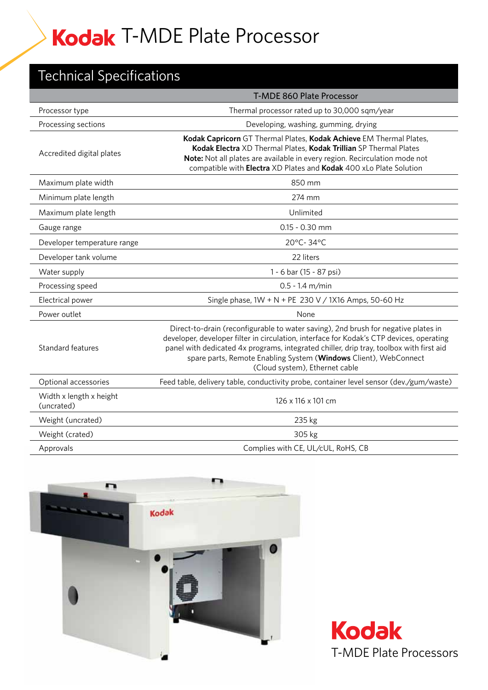## Technical Specifications

|                                       | <b>T-MDE 860 Plate Processor</b>                                                                                                                                                                                                                                                                                                                                                |
|---------------------------------------|---------------------------------------------------------------------------------------------------------------------------------------------------------------------------------------------------------------------------------------------------------------------------------------------------------------------------------------------------------------------------------|
| Processor type                        | Thermal processor rated up to 30,000 sqm/year                                                                                                                                                                                                                                                                                                                                   |
| Processing sections                   | Developing, washing, gumming, drying                                                                                                                                                                                                                                                                                                                                            |
| Accredited digital plates             | Kodak Capricorn GT Thermal Plates, Kodak Achieve EM Thermal Plates,<br>Kodak Electra XD Thermal Plates, Kodak Trillian SP Thermal Plates<br>Note: Not all plates are available in every region. Recirculation mode not<br>compatible with Electra XD Plates and Kodak 400 xLo Plate Solution                                                                                    |
| Maximum plate width                   | 850 mm                                                                                                                                                                                                                                                                                                                                                                          |
| Minimum plate length                  | 274 mm                                                                                                                                                                                                                                                                                                                                                                          |
| Maximum plate length                  | Unlimited                                                                                                                                                                                                                                                                                                                                                                       |
| Gauge range                           | $0.15 - 0.30$ mm                                                                                                                                                                                                                                                                                                                                                                |
| Developer temperature range           | 20°C-34°C                                                                                                                                                                                                                                                                                                                                                                       |
| Developer tank volume                 | 22 liters                                                                                                                                                                                                                                                                                                                                                                       |
| Water supply                          | 1 - 6 bar (15 - 87 psi)                                                                                                                                                                                                                                                                                                                                                         |
| Processing speed                      | $0.5 - 1.4$ m/min                                                                                                                                                                                                                                                                                                                                                               |
| Electrical power                      | Single phase, 1W + N + PE 230 V / 1X16 Amps, 50-60 Hz                                                                                                                                                                                                                                                                                                                           |
| Power outlet                          | None                                                                                                                                                                                                                                                                                                                                                                            |
| Standard features                     | Direct-to-drain (reconfigurable to water saving), 2nd brush for negative plates in<br>developer, developer filter in circulation, interface for Kodak's CTP devices, operating<br>panel with dedicated 4x programs, integrated chiller, drip tray, toolbox with first aid<br>spare parts, Remote Enabling System (Windows Client), WebConnect<br>(Cloud system), Ethernet cable |
| Optional accessories                  | Feed table, delivery table, conductivity probe, container level sensor (dev./gum/waste)                                                                                                                                                                                                                                                                                         |
| Width x length x height<br>(uncrated) | 126 x 116 x 101 cm                                                                                                                                                                                                                                                                                                                                                              |
| Weight (uncrated)                     | 235 kg                                                                                                                                                                                                                                                                                                                                                                          |
| Weight (crated)                       | 305 kg                                                                                                                                                                                                                                                                                                                                                                          |
| Approvals                             | Complies with CE, UL/cUL, RoHS, CB                                                                                                                                                                                                                                                                                                                                              |